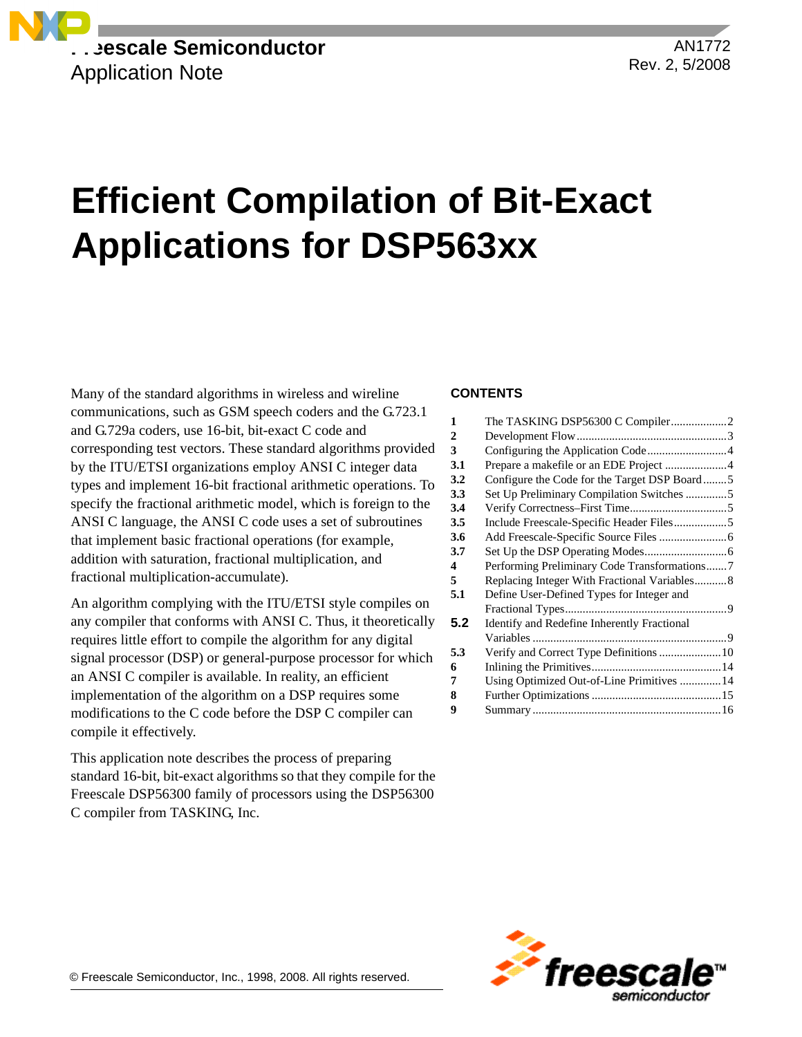

# **Efficient Compilation of Bit-Exact Applications for DSP563xx**

Many of the standard algorithms in wireless and wireline communications, such as GSM speech coders and the G.723.1 and G.729a coders, use 16-bit, bit-exact C code and corresponding test vectors. These standard algorithms provided by the ITU/ETSI organizations employ ANSI C integer data types and implement 16-bit fractional arithmetic operations. To specify the fractional arithmetic model, which is foreign to the ANSI C language, the ANSI C code uses a set of subroutines that implement basic fractional operations (for example, addition with saturation, fractional multiplication, and fractional multiplication-accumulate).

An algorithm complying with the ITU/ETSI style compiles on any compiler that conforms with ANSI C. Thus, it theoretically requires little effort to compile the algorithm for any digital signal processor (DSP) or general-purpose processor for which an ANSI C compiler is available. In reality, an efficient implementation of the algorithm on a DSP requires some modifications to the C code before the DSP C compiler can compile it effectively.

This application note describes the process of preparing standard 16-bit, bit-exact algorithms so that they compile for the Freescale DSP56300 family of processors using the DSP56300 C compiler from TASKING, Inc.

### **CONTENTS**

| 1   |                                              |  |
|-----|----------------------------------------------|--|
| 2   |                                              |  |
| 3   |                                              |  |
| 3.1 | Prepare a makefile or an EDE Project 4       |  |
| 3.2 | Configure the Code for the Target DSP Board5 |  |
| 3.3 | Set Up Preliminary Compilation Switches 5    |  |
| 3.4 |                                              |  |
| 3.5 | Include Freescale-Specific Header Files5     |  |
| 3.6 |                                              |  |
| 3.7 |                                              |  |
| 4   | Performing Preliminary Code Transformations7 |  |
| 5   | Replacing Integer With Fractional Variables8 |  |
| 5.1 | Define User-Defined Types for Integer and    |  |
|     |                                              |  |
| 5.2 | Identify and Redefine Inherently Fractional  |  |
|     |                                              |  |
| 5.3 | Verify and Correct Type Definitions  10      |  |
| 6   |                                              |  |
| 7   | Using Optimized Out-of-Line Primitives  14   |  |
| 8   |                                              |  |
| 9   |                                              |  |
|     |                                              |  |

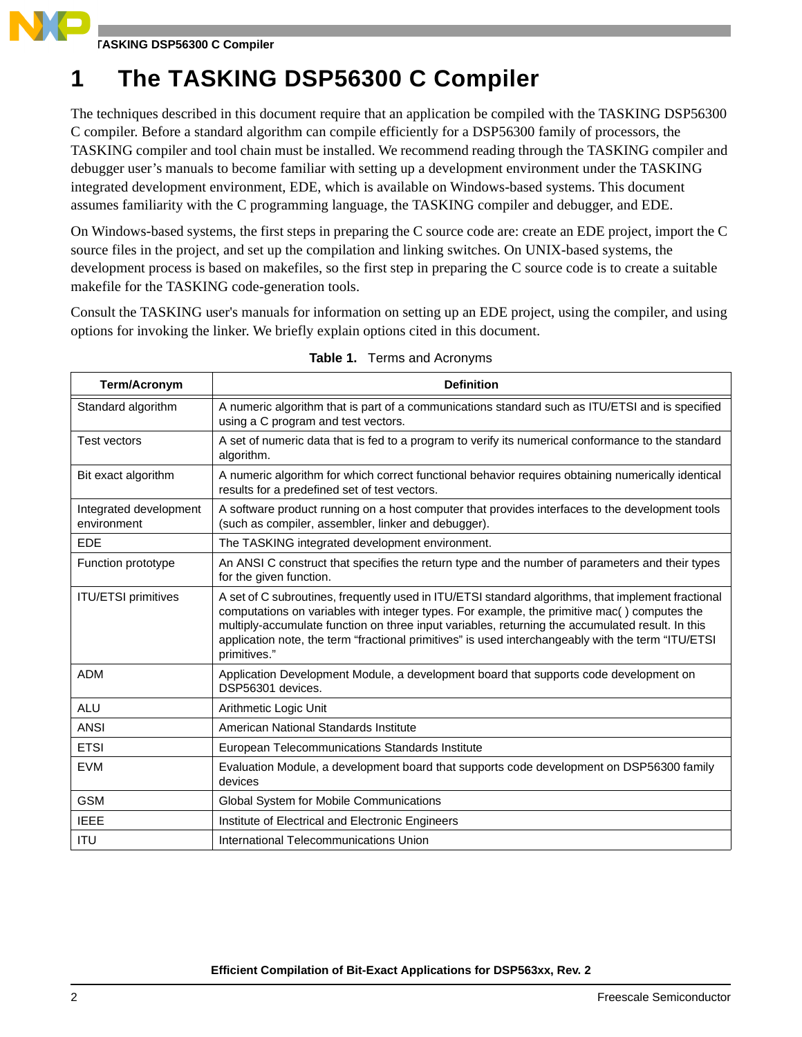## <span id="page-1-0"></span>**1 The TASKING DSP56300 C Compiler**

The techniques described in this document require that an application be compiled with the TASKING DSP56300 C compiler. Before a standard algorithm can compile efficiently for a DSP56300 family of processors, the TASKING compiler and tool chain must be installed. We recommend reading through the TASKING compiler and debugger user's manuals to become familiar with setting up a development environment under the TASKING integrated development environment, EDE, which is available on Windows-based systems. This document assumes familiarity with the C programming language, the TASKING compiler and debugger, and EDE.

On Windows-based systems, the first steps in preparing the C source code are: create an EDE project, import the C source files in the project, and set up the compilation and linking switches. On UNIX-based systems, the development process is based on makefiles, so the first step in preparing the C source code is to create a suitable makefile for the TASKING code-generation tools.

Consult the TASKING user's manuals for information on setting up an EDE project, using the compiler, and using options for invoking the linker. We briefly explain options cited in this document.

| <b>Term/Acronym</b>                   | <b>Definition</b>                                                                                                                                                                                                                                                                                                                                                                                                           |  |  |  |  |
|---------------------------------------|-----------------------------------------------------------------------------------------------------------------------------------------------------------------------------------------------------------------------------------------------------------------------------------------------------------------------------------------------------------------------------------------------------------------------------|--|--|--|--|
| Standard algorithm                    | A numeric algorithm that is part of a communications standard such as ITU/ETSI and is specified<br>using a C program and test vectors.                                                                                                                                                                                                                                                                                      |  |  |  |  |
| <b>Test vectors</b>                   | A set of numeric data that is fed to a program to verify its numerical conformance to the standard<br>algorithm.                                                                                                                                                                                                                                                                                                            |  |  |  |  |
| Bit exact algorithm                   | A numeric algorithm for which correct functional behavior requires obtaining numerically identical<br>results for a predefined set of test vectors.                                                                                                                                                                                                                                                                         |  |  |  |  |
| Integrated development<br>environment | A software product running on a host computer that provides interfaces to the development tools<br>(such as compiler, assembler, linker and debugger).                                                                                                                                                                                                                                                                      |  |  |  |  |
| <b>EDE</b>                            | The TASKING integrated development environment.                                                                                                                                                                                                                                                                                                                                                                             |  |  |  |  |
| Function prototype                    | An ANSI C construct that specifies the return type and the number of parameters and their types<br>for the given function.                                                                                                                                                                                                                                                                                                  |  |  |  |  |
| <b>ITU/ETSI primitives</b>            | A set of C subroutines, frequently used in ITU/ETSI standard algorithms, that implement fractional<br>computations on variables with integer types. For example, the primitive mac() computes the<br>multiply-accumulate function on three input variables, returning the accumulated result. In this<br>application note, the term "fractional primitives" is used interchangeably with the term "ITU/ETSI<br>primitives." |  |  |  |  |
| <b>ADM</b>                            | Application Development Module, a development board that supports code development on<br>DSP56301 devices.                                                                                                                                                                                                                                                                                                                  |  |  |  |  |
| <b>ALU</b>                            | Arithmetic Logic Unit                                                                                                                                                                                                                                                                                                                                                                                                       |  |  |  |  |
| <b>ANSI</b>                           | American National Standards Institute                                                                                                                                                                                                                                                                                                                                                                                       |  |  |  |  |
| <b>ETSI</b>                           | European Telecommunications Standards Institute                                                                                                                                                                                                                                                                                                                                                                             |  |  |  |  |
| <b>EVM</b>                            | Evaluation Module, a development board that supports code development on DSP56300 family<br>devices                                                                                                                                                                                                                                                                                                                         |  |  |  |  |
| <b>GSM</b>                            | Global System for Mobile Communications                                                                                                                                                                                                                                                                                                                                                                                     |  |  |  |  |
| <b>IEEE</b>                           | Institute of Electrical and Electronic Engineers                                                                                                                                                                                                                                                                                                                                                                            |  |  |  |  |
| <b>ITU</b>                            | International Telecommunications Union                                                                                                                                                                                                                                                                                                                                                                                      |  |  |  |  |

### **Table 1.** Terms and Acronyms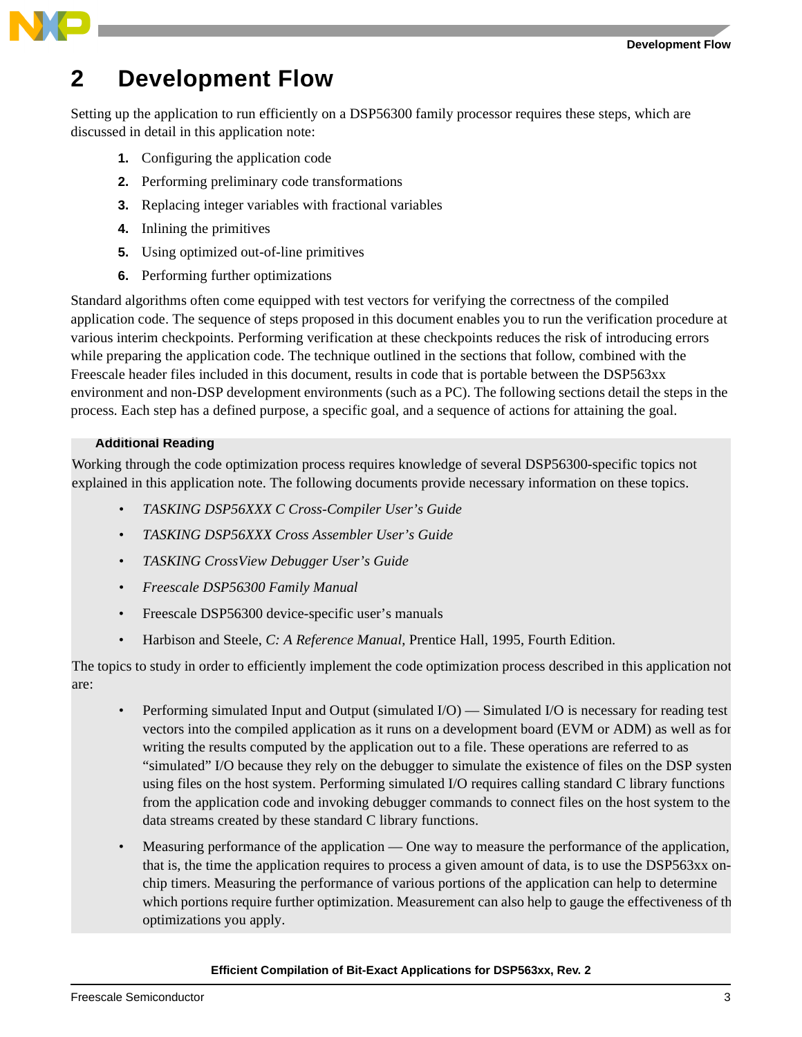## <span id="page-2-0"></span>**2 Development Flow**

Setting up the application to run efficiently on a DSP56300 family processor requires these steps, which are discussed in detail in this application note:

- **1.** Configuring the application code
- **2.** Performing preliminary code transformations
- **3.** Replacing integer variables with fractional variables
- **4.** Inlining the primitives
- **5.** Using optimized out-of-line primitives
- **6.** Performing further optimizations

Standard algorithms often come equipped with test vectors for verifying the correctness of the compiled application code. The sequence of steps proposed in this document enables you to run the verification procedure at various interim checkpoints. Performing verification at these checkpoints reduces the risk of introducing errors while preparing the application code. The technique outlined in the sections that follow, combined with the Freescale header files included in this document, results in code that is portable between the DSP563xx environment and non-DSP development environments (such as a PC). The following sections detail the steps in the process. Each step has a defined purpose, a specific goal, and a sequence of actions for attaining the goal.

### **Additional Reading**

Working through the code optimization process requires knowledge of several DSP56300-specific topics not explained in this application note. The following documents provide necessary information on these topics.

- *TASKING DSP56XXX C Cross-Compiler User's Guide*
- *TASKING DSP56XXX Cross Assembler User's Guide*
- *TASKING CrossView Debugger User's Guide*
- *Freescale DSP56300 Family Manual*
- Freescale DSP56300 device-specific user's manuals
- Harbison and Steele, *C: A Reference Manual*, Prentice Hall, 1995, Fourth Edition.

The topics to study in order to efficiently implement the code optimization process described in this application note are:

- Performing simulated Input and Output (simulated I/O) Simulated I/O is necessary for reading test vectors into the compiled application as it runs on a development board (EVM or ADM) as well as for writing the results computed by the application out to a file. These operations are referred to as "simulated" I/O because they rely on the debugger to simulate the existence of files on the DSP system using files on the host system. Performing simulated I/O requires calling standard C library functions from the application code and invoking debugger commands to connect files on the host system to the data streams created by these standard C library functions.
- Measuring performance of the application One way to measure the performance of the application, that is, the time the application requires to process a given amount of data, is to use the DSP563xx onchip timers. Measuring the performance of various portions of the application can help to determine which portions require further optimization. Measurement can also help to gauge the effectiveness of the optimizations you apply.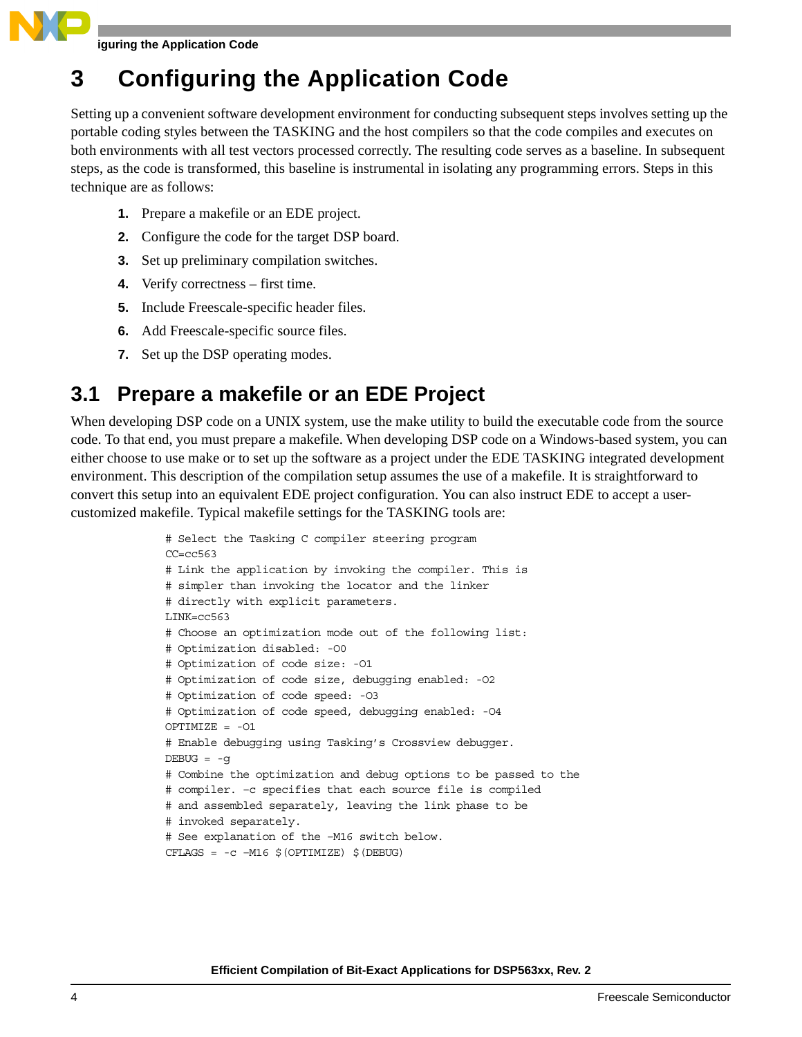## <span id="page-3-0"></span>**3 Configuring the Application Code**

Setting up a convenient software development environment for conducting subsequent steps involves setting up the portable coding styles between the TASKING and the host compilers so that the code compiles and executes on both environments with all test vectors processed correctly. The resulting code serves as a baseline. In subsequent steps, as the code is transformed, this baseline is instrumental in isolating any programming errors. Steps in this technique are as follows:

- **1.** Prepare a makefile or an EDE project.
- **2.** Configure the code for the target DSP board.
- **3.** Set up preliminary compilation switches.
- **4.** Verify correctness first time.
- **5.** Include Freescale-specific header files.
- **6.** Add Freescale-specific source files.
- **7.** Set up the DSP operating modes.

## <span id="page-3-1"></span>**3.1 Prepare a makefile or an EDE Project**

When developing DSP code on a UNIX system, use the make utility to build the executable code from the source code. To that end, you must prepare a makefile. When developing DSP code on a Windows-based system, you can either choose to use make or to set up the software as a project under the EDE TASKING integrated development environment. This description of the compilation setup assumes the use of a makefile. It is straightforward to convert this setup into an equivalent EDE project configuration. You can also instruct EDE to accept a usercustomized makefile. Typical makefile settings for the TASKING tools are:

```
# Select the Tasking C compiler steering program
CC = <b>cc563</b># Link the application by invoking the compiler. This is 
# simpler than invoking the locator and the linker
# directly with explicit parameters.
LINK=cc563
# Choose an optimization mode out of the following list:
# Optimization disabled: -O0
# Optimization of code size: -O1
# Optimization of code size, debugging enabled: -O2
# Optimization of code speed: -O3
# Optimization of code speed, debugging enabled: -O4
OPTIMIZE = -O1
# Enable debugging using Tasking's Crossview debugger.
DEBUG = -q# Combine the optimization and debug options to be passed to the
# compiler. –c specifies that each source file is compiled 
# and assembled separately, leaving the link phase to be 
# invoked separately.
# See explanation of the –M16 switch below.
CFLAGS = -c –M16 $ (OPTIMIZE) $ (DEBUG)
```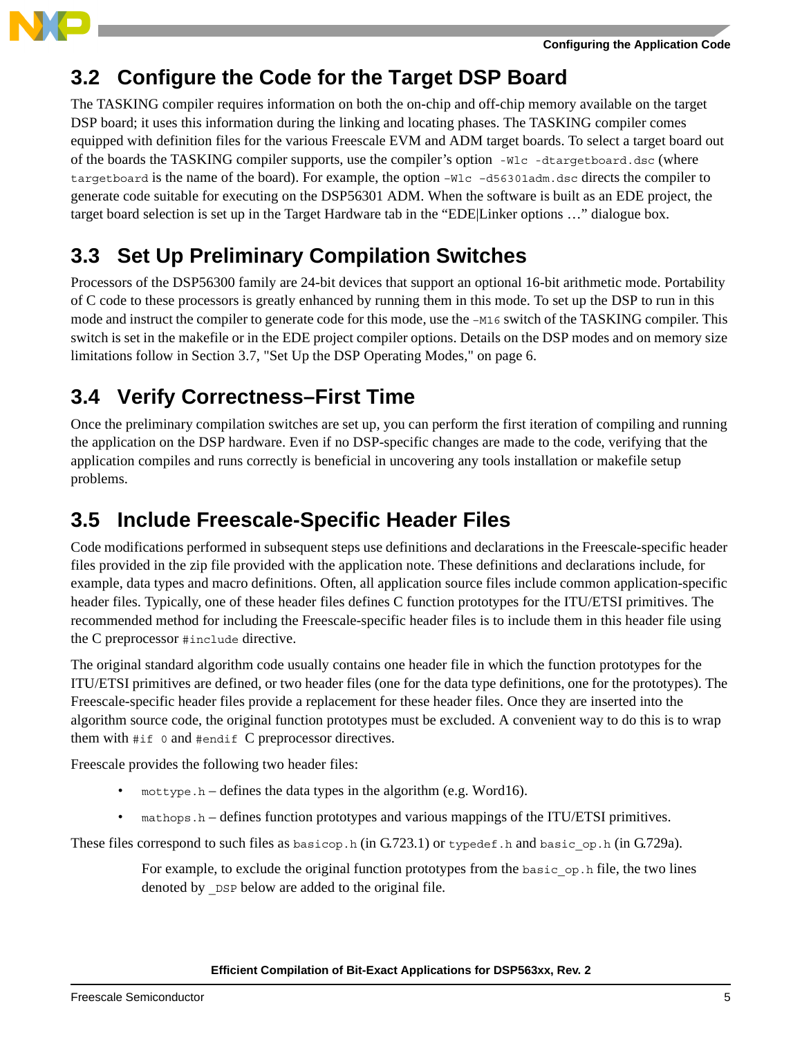

## <span id="page-4-0"></span>**3.2 Configure the Code for the Target DSP Board**

The TASKING compiler requires information on both the on-chip and off-chip memory available on the target DSP board; it uses this information during the linking and locating phases. The TASKING compiler comes equipped with definition files for the various Freescale EVM and ADM target boards. To select a target board out of the boards the TASKING compiler supports, use the compiler's option -Wlc -dtargetboard.dsc (where targetboard is the name of the board). For example, the option –Wlc –d56301adm.dsc directs the compiler to generate code suitable for executing on the DSP56301 ADM. When the software is built as an EDE project, the target board selection is set up in the Target Hardware tab in the "EDE|Linker options …" dialogue box.

## <span id="page-4-1"></span>**3.3 Set Up Preliminary Compilation Switches**

Processors of the DSP56300 family are 24-bit devices that support an optional 16-bit arithmetic mode. Portability of C code to these processors is greatly enhanced by running them in this mode. To set up the DSP to run in this mode and instruct the compiler to generate code for this mode, use the  $-M16$  switch of the TASKING compiler. This switch is set in the makefile or in the EDE project compiler options. Details on the DSP modes and on memory size limitations follow in [Section 3.7, "Set Up the DSP Operating Modes," on page 6](#page-5-1).

## <span id="page-4-2"></span>**3.4 Verify Correctness–First Time**

Once the preliminary compilation switches are set up, you can perform the first iteration of compiling and running the application on the DSP hardware. Even if no DSP-specific changes are made to the code, verifying that the application compiles and runs correctly is beneficial in uncovering any tools installation or makefile setup problems.

## <span id="page-4-3"></span>**3.5 Include Freescale-Specific Header Files**

Code modifications performed in subsequent steps use definitions and declarations in the Freescale-specific header files provided in the zip file provided with the application note. These definitions and declarations include, for example, data types and macro definitions. Often, all application source files include common application-specific header files. Typically, one of these header files defines C function prototypes for the ITU/ETSI primitives. The recommended method for including the Freescale-specific header files is to include them in this header file using the C preprocessor #include directive.

The original standard algorithm code usually contains one header file in which the function prototypes for the ITU/ETSI primitives are defined, or two header files (one for the data type definitions, one for the prototypes). The Freescale-specific header files provide a replacement for these header files. Once they are inserted into the algorithm source code, the original function prototypes must be excluded. A convenient way to do this is to wrap them with  $\#$ if 0 and  $\#$ endif C preprocessor directives.

Freescale provides the following two header files:

- mottype.h defines the data types in the algorithm (e.g. Word16).
- mathops.h defines function prototypes and various mappings of the ITU/ETSI primitives.

These files correspond to such files as basicop.h (in  $G723.1$ ) or typedef.h and basic op.h (in  $G729a$ ).

For example, to exclude the original function prototypes from the basic  $\phi$ . h file, the two lines denoted by  $DSP$  below are added to the original file.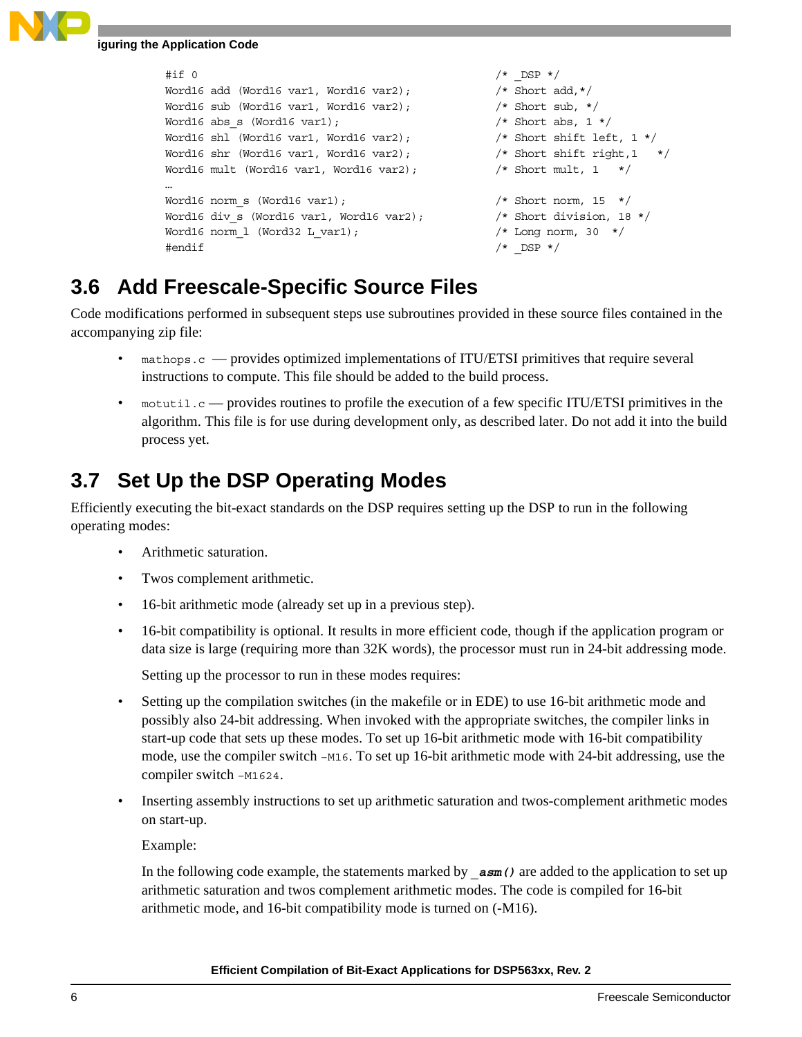

```
#if 0 \qquad \qquad /* DSP */
Word16 add (Word16 var1, Word16 var2); /* Short add,*/
Word16 sub (Word16 var1, Word16 var2); /* Short sub, */Word16 abs s (Word16 var1); \frac{1 \times 10^{14}}{100} /* Short abs, 1 */
Word16 shl (Word16 var1, Word16 var2); /* Short shift left, 1 */
Word16 shr (Word16 var1, Word16 var2); /* Short shift right,1 */
Word16 mult (Word16 var1, Word16 var2); \frac{\ast}{\ast} Short mult, 1 \ast/…
Word16 norm s (Word16 var1); /* Short norm, 15 */
Word16 div s (Word16 var1, Word16 var2); /* Short division, 18 */
Word16 norm 1 (Word32 L var1); \frac{1}{2} /* Long norm, 30 */
\# \text{endif}
```
## <span id="page-5-0"></span>**3.6 Add Freescale-Specific Source Files**

Code modifications performed in subsequent steps use subroutines provided in these source files contained in the accompanying zip file:

- $m$ athops.c provides optimized implementations of ITU/ETSI primitives that require several instructions to compute. This file should be added to the build process.
- motutil.c provides routines to profile the execution of a few specific ITU/ETSI primitives in the algorithm. This file is for use during development only, as described later. Do not add it into the build process yet.

## <span id="page-5-1"></span>**3.7 Set Up the DSP Operating Modes**

Efficiently executing the bit-exact standards on the DSP requires setting up the DSP to run in the following operating modes:

- Arithmetic saturation.
- Twos complement arithmetic.
- 16-bit arithmetic mode (already set up in a previous step).
- 16-bit compatibility is optional. It results in more efficient code, though if the application program or data size is large (requiring more than 32K words), the processor must run in 24-bit addressing mode.

Setting up the processor to run in these modes requires:

- Setting up the compilation switches (in the makefile or in EDE) to use 16-bit arithmetic mode and possibly also 24-bit addressing. When invoked with the appropriate switches, the compiler links in start-up code that sets up these modes. To set up 16-bit arithmetic mode with 16-bit compatibility mode, use the compiler switch –M16. To set up 16-bit arithmetic mode with 24-bit addressing, use the compiler switch –M1624.
- Inserting assembly instructions to set up arithmetic saturation and twos-complement arithmetic modes on start-up.

Example:

In the following code example, the statements marked by  $a \sin(\theta)$  are added to the application to set up arithmetic saturation and twos complement arithmetic modes. The code is compiled for 16-bit arithmetic mode, and 16-bit compatibility mode is turned on (-M16).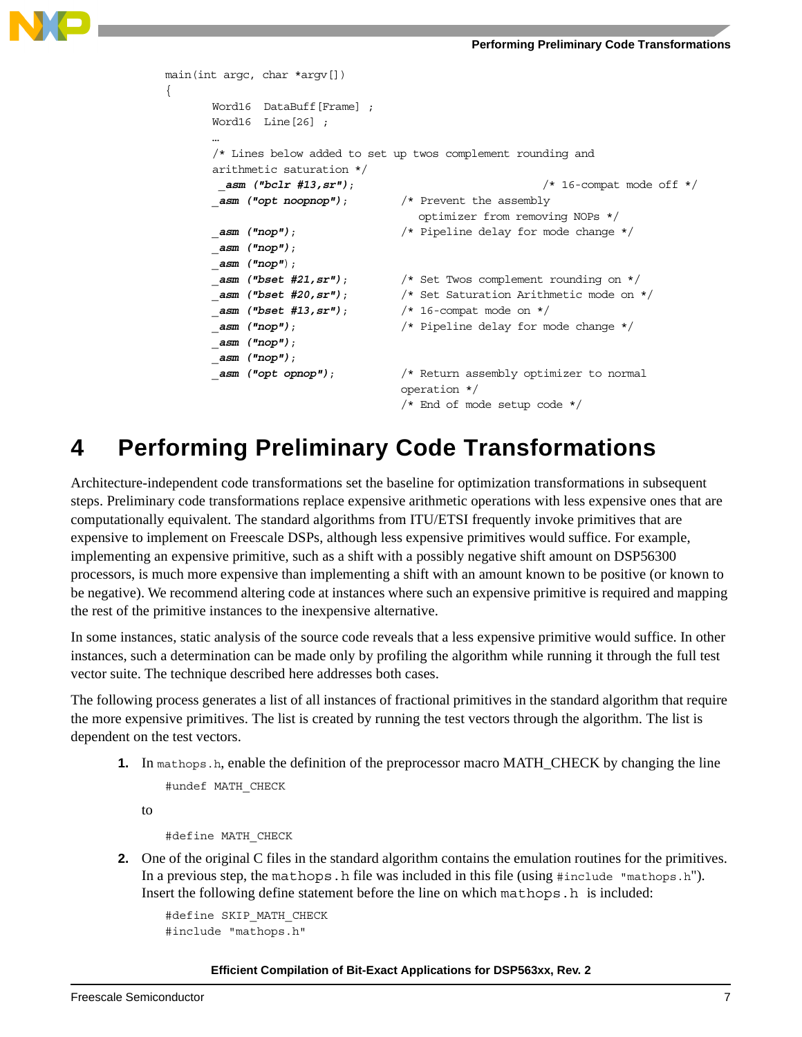

```
main(int argc, char *argv[])
{
       Word16 DataBuff[Frame] ;
      Word16 Line[26] ;
       …
       /* Lines below added to set up twos complement rounding and
      arithmetic saturation */
        _asm ("bclr #13,sr"); /* 16-compat mode off */
      asm ("opt noopnop"); /* Prevent the assembly
                                     optimizer from removing NOPs */
       asm ("nop"); \frac{1}{2} /* Pipeline delay for mode change */
       _asm ("nop");
      _asm ("nop");
      _asm ("bset #21,sr"); /* Set Twos complement rounding on */
       _asm ("bset #20,sr"); /* Set Saturation Arithmetic mode on */
       _asm ("bset #13,sr"); /* 16-compat mode on */
      asm ("nop"); \left(\frac{1}{2}\right)^* /* Pipeline delay for mode change */
       _asm ("nop");
       _asm ("nop");
       asm ("opt opnop"); /* Return assembly optimizer to normal
                                  operation */
                                  /* End of mode setup code */
```
## <span id="page-6-0"></span>**4 Performing Preliminary Code Transformations**

Architecture-independent code transformations set the baseline for optimization transformations in subsequent steps. Preliminary code transformations replace expensive arithmetic operations with less expensive ones that are computationally equivalent. The standard algorithms from ITU/ETSI frequently invoke primitives that are expensive to implement on Freescale DSPs, although less expensive primitives would suffice. For example, implementing an expensive primitive, such as a shift with a possibly negative shift amount on DSP56300 processors, is much more expensive than implementing a shift with an amount known to be positive (or known to be negative). We recommend altering code at instances where such an expensive primitive is required and mapping the rest of the primitive instances to the inexpensive alternative.

In some instances, static analysis of the source code reveals that a less expensive primitive would suffice. In other instances, such a determination can be made only by profiling the algorithm while running it through the full test vector suite. The technique described here addresses both cases.

The following process generates a list of all instances of fractional primitives in the standard algorithm that require the more expensive primitives. The list is created by running the test vectors through the algorithm. The list is dependent on the test vectors.

**1.** In mathops.h, enable the definition of the preprocessor macro MATH\_CHECK by changing the line #undef MATH\_CHECK

to

#define MATH\_CHECK

**2.** One of the original C files in the standard algorithm contains the emulation routines for the primitives. In a previous step, the mathops. h file was included in this file (using  $\#$ include "mathops.h"). Insert the following define statement before the line on which mathops. h is included:

```
#define SKIP_MATH_CHECK
#include "mathops.h"
```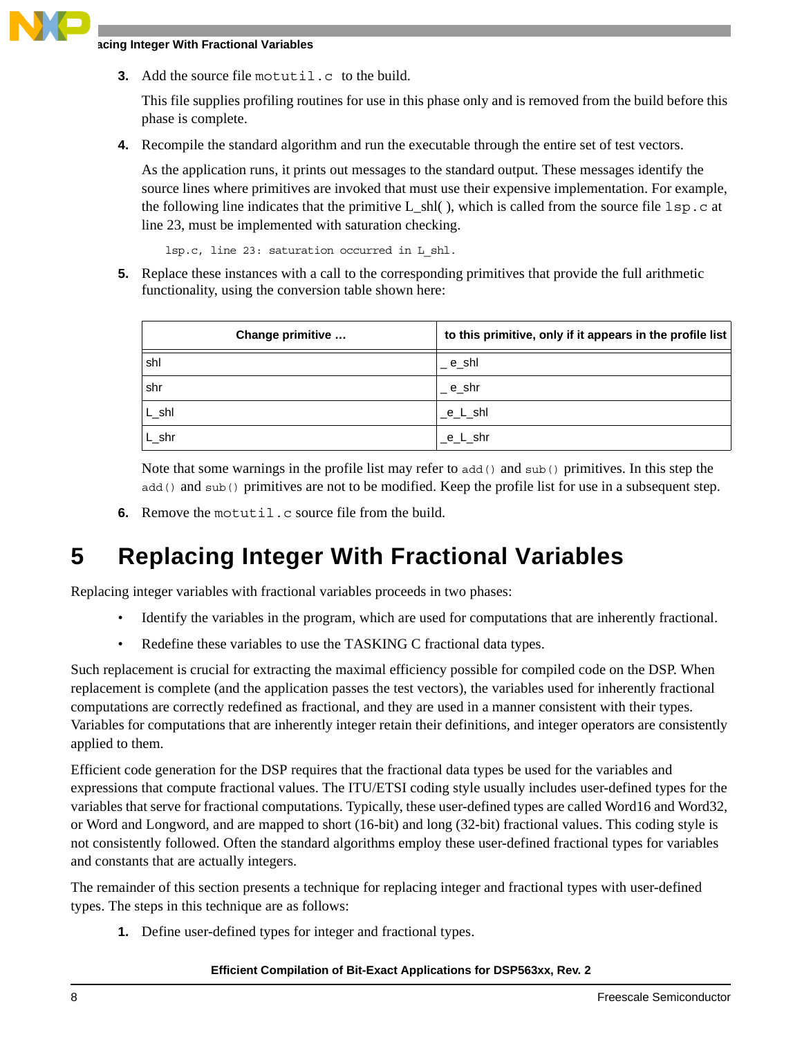### **Replacing Integer With Fractional Variables**

**3.** Add the source file motutil.c to the build.

This file supplies profiling routines for use in this phase only and is removed from the build before this phase is complete.

**4.** Recompile the standard algorithm and run the executable through the entire set of test vectors.

As the application runs, it prints out messages to the standard output. These messages identify the source lines where primitives are invoked that must use their expensive implementation. For example, the following line indicates that the primitive  $L\_shl($ ), which is called from the source file  $l$  sp.c at line 23, must be implemented with saturation checking.

lsp.c, line 23: saturation occurred in L\_shl.

**5.** Replace these instances with a call to the corresponding primitives that provide the full arithmetic functionality, using the conversion table shown here:

| Change primitive | to this primitive, only if it appears in the profile list |
|------------------|-----------------------------------------------------------|
| shl              | $e$ shl                                                   |
| shr              | !_ e_shr_                                                 |
| L shl            | '_e_L_shl                                                 |
| L_shr            | _e_L_shr                                                  |

Note that some warnings in the profile list may refer to add() and sub() primitives. In this step the add() and sub() primitives are not to be modified. Keep the profile list for use in a subsequent step.

**6.** Remove the motutil.c source file from the build.

## <span id="page-7-0"></span>**5 Replacing Integer With Fractional Variables**

Replacing integer variables with fractional variables proceeds in two phases:

- Identify the variables in the program, which are used for computations that are inherently fractional.
- Redefine these variables to use the TASKING C fractional data types.

Such replacement is crucial for extracting the maximal efficiency possible for compiled code on the DSP. When replacement is complete (and the application passes the test vectors), the variables used for inherently fractional computations are correctly redefined as fractional, and they are used in a manner consistent with their types. Variables for computations that are inherently integer retain their definitions, and integer operators are consistently applied to them.

Efficient code generation for the DSP requires that the fractional data types be used for the variables and expressions that compute fractional values. The ITU/ETSI coding style usually includes user-defined types for the variables that serve for fractional computations. Typically, these user-defined types are called Word16 and Word32, or Word and Longword, and are mapped to short (16-bit) and long (32-bit) fractional values. This coding style is not consistently followed. Often the standard algorithms employ these user-defined fractional types for variables and constants that are actually integers.

The remainder of this section presents a technique for replacing integer and fractional types with user-defined types. The steps in this technique are as follows:

**1.** Define user-defined types for integer and fractional types.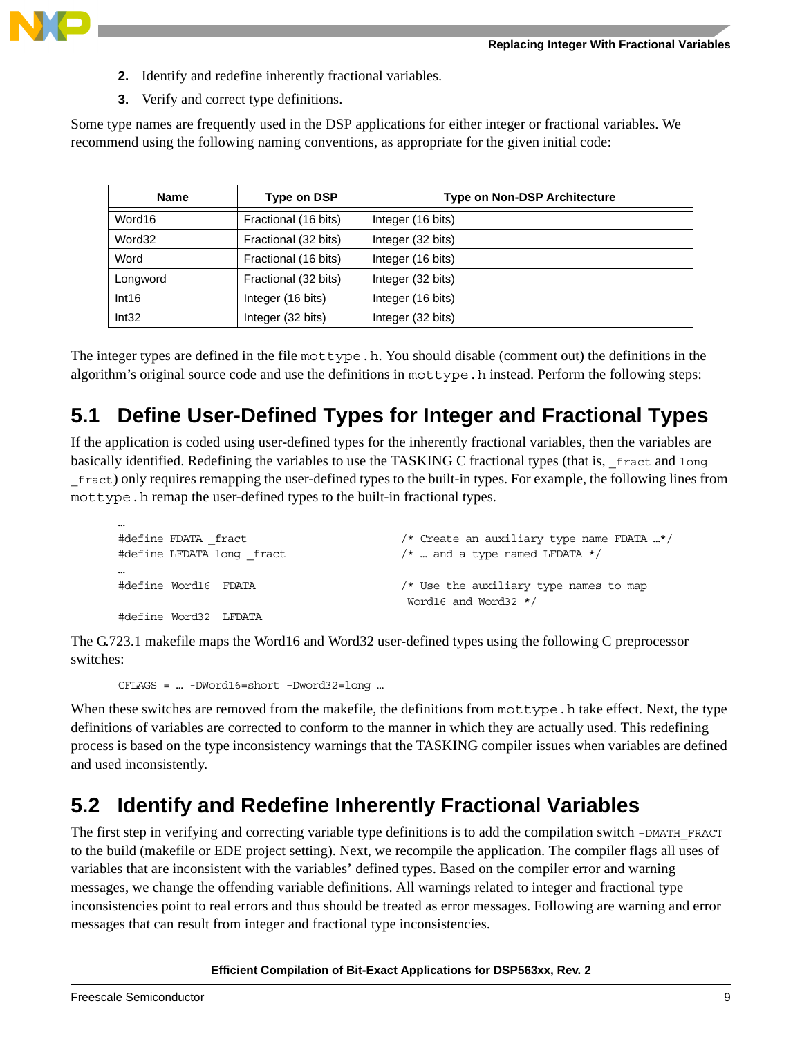

- **2.** Identify and redefine inherently fractional variables.
- **3.** Verify and correct type definitions.

Some type names are frequently used in the DSP applications for either integer or fractional variables. We recommend using the following naming conventions, as appropriate for the given initial code:

| <b>Name</b> | Type on DSP          | <b>Type on Non-DSP Architecture</b> |
|-------------|----------------------|-------------------------------------|
| Word16      | Fractional (16 bits) | Integer (16 bits)                   |
| Word32      | Fractional (32 bits) | Integer (32 bits)                   |
| Word        | Fractional (16 bits) | Integer (16 bits)                   |
| Longword    | Fractional (32 bits) | Integer (32 bits)                   |
| Int16       | Integer (16 bits)    | Integer (16 bits)                   |
| Int32       | Integer (32 bits)    | Integer (32 bits)                   |

The integer types are defined in the file mottype.h. You should disable (comment out) the definitions in the algorithm's original source code and use the definitions in mottype. h instead. Perform the following steps:

## <span id="page-8-0"></span>**5.1 Define User-Defined Types for Integer and Fractional Types**

If the application is coded using user-defined types for the inherently fractional variables, then the variables are basically identified. Redefining the variables to use the TASKING C fractional types (that is, fract and long \_fract) only requires remapping the user-defined types to the built-in types. For example, the following lines from mottype.h remap the user-defined types to the built-in fractional types.

```
…
#define FDATA _fract /* Create an auxiliary type name FDATA …*/
#define LFDATA long fract /* ... and a type named LFDATA */…
#define Word16 FDATA /* Use the auxiliary type names to map
                                    Word16 and Word32 */
#define Word32 LFDATA
```
The G.723.1 makefile maps the Word16 and Word32 user-defined types using the following C preprocessor switches:

CFLAGS = … -DWord16=short –Dword32=long …

When these switches are removed from the makefile, the definitions from mottype. h take effect. Next, the type definitions of variables are corrected to conform to the manner in which they are actually used. This redefining process is based on the type inconsistency warnings that the TASKING compiler issues when variables are defined and used inconsistently.

## <span id="page-8-1"></span>**5.2 Identify and Redefine Inherently Fractional Variables**

The first step in verifying and correcting variable type definitions is to add the compilation switch –DMATH\_FRACT to the build (makefile or EDE project setting). Next, we recompile the application. The compiler flags all uses of variables that are inconsistent with the variables' defined types. Based on the compiler error and warning messages, we change the offending variable definitions. All warnings related to integer and fractional type inconsistencies point to real errors and thus should be treated as error messages. Following are warning and error messages that can result from integer and fractional type inconsistencies.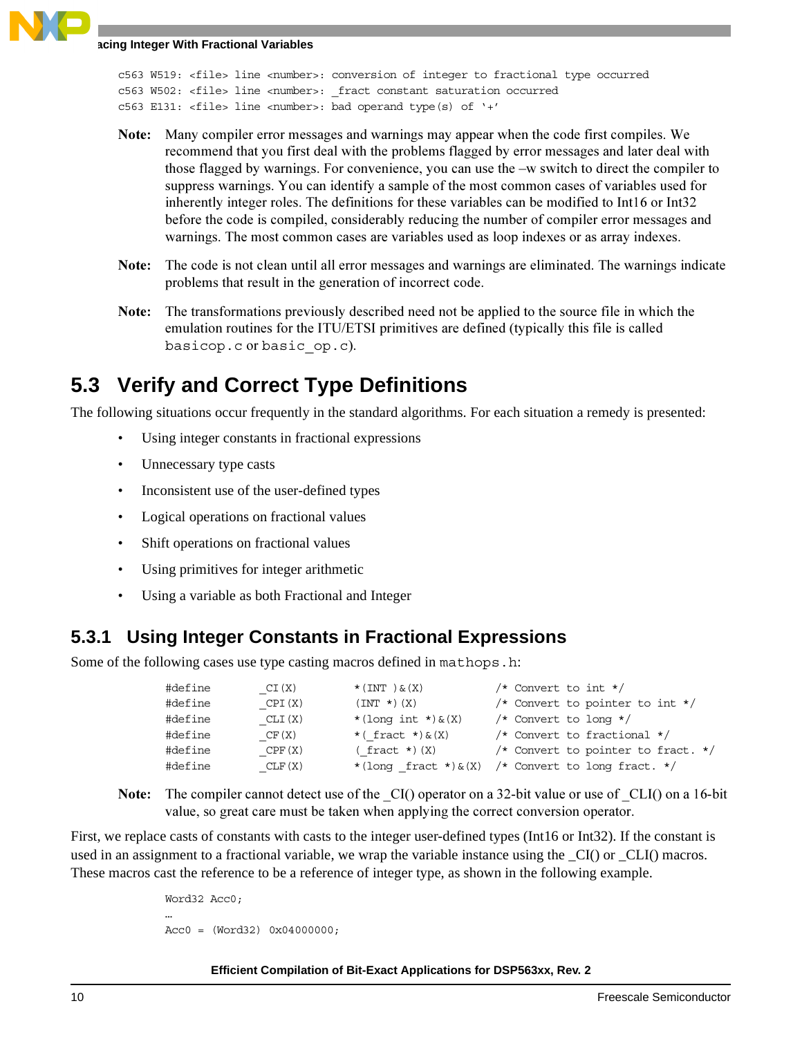

#### **Replacing Integer With Fractional Variables**

c563 W519: <file> line <number>: conversion of integer to fractional type occurred c563 W502: <file> line <number>: fract constant saturation occurred c563 E131: <file> line <number>: bad operand type(s) of '+'

- **Note:** M any compiler error messages and warnings may appear when the code first compiles. We recommend that you first deal with the problems flagged by error messages and later deal with those flagged by warnings. For convenience, you can use the -w switch to direct the compiler to suppress warnings. You can identify a sample of the most common cases of variables used for inherently integer roles. The definitions for these variables can be modified to  $Int16$  or  $Int32$ before the code is compiled, considerably reducing the number of compiler error messages and warnings. The most common cases are variables used as loop indexes or as array indexes.
- Note: The code is not clean until all error messages and warnings are eliminated. The warnings indicate problems that result in the generation of incorrect code.
- Note: The transformations previously described need not be applied to the source file in which the emulation routines for the ITU/ETSI primitives are defined (typically this file is called basicop.corbasic op.c).

## <span id="page-9-0"></span>**5.3 Verify and Correct Type Definitions**

The following situations occur frequently in the standard algorithms. For each situation a remedy is presented:

- Using integer constants in fractional expressions
- Unnecessary type casts
- Inconsistent use of the user-defined types
- Logical operations on fractional values
- Shift operations on fractional values
- Using primitives for integer arithmetic
- Using a variable as both Fractional and Integer

### **5.3.1 Using Integer Constants in Fractional Expressions**

Some of the following cases use type casting macros defined in mathops.h:

| #define | CI (X)  | $*(INT) & (X)$                                        |  | /* Convert to int */                 |
|---------|---------|-------------------------------------------------------|--|--------------------------------------|
| #define | CPI (X) | $(INT *)(X)$                                          |  | /* Convert to pointer to int $*/$    |
| #define | CLI (X) | $*(long int *)\&(X)$                                  |  | /* Convert to long $*/$              |
| #define | CF(X)   | $*($ fract $*) \& (X)$                                |  | /* Convert to fractional */          |
| #define | CPF(X)  | $($ fract $\star$ $(X)$                               |  | /* Convert to pointer to fract. $*/$ |
| #define | CLF(X)  | *(long fract *) $\&$ (X) /* Convert to long fract. */ |  |                                      |

Note: The compiler cannot detect use of the CI() operator on a 32-bit value or use of CLI() on a 16-bit value, so great care must be taken when applying the correct conversion operator.

First, we replace casts of constants with casts to the integer user-defined types (Int16 or Int32). If the constant is used in an assignment to a fractional variable, we wrap the variable instance using the  $_CIC$ () or  $_CCLI$ () macros. These macros cast the reference to be a reference of integer type, as shown in the following example.

> Word32 Acc0; …  $Acc0 = (Word32) 0x04000000;$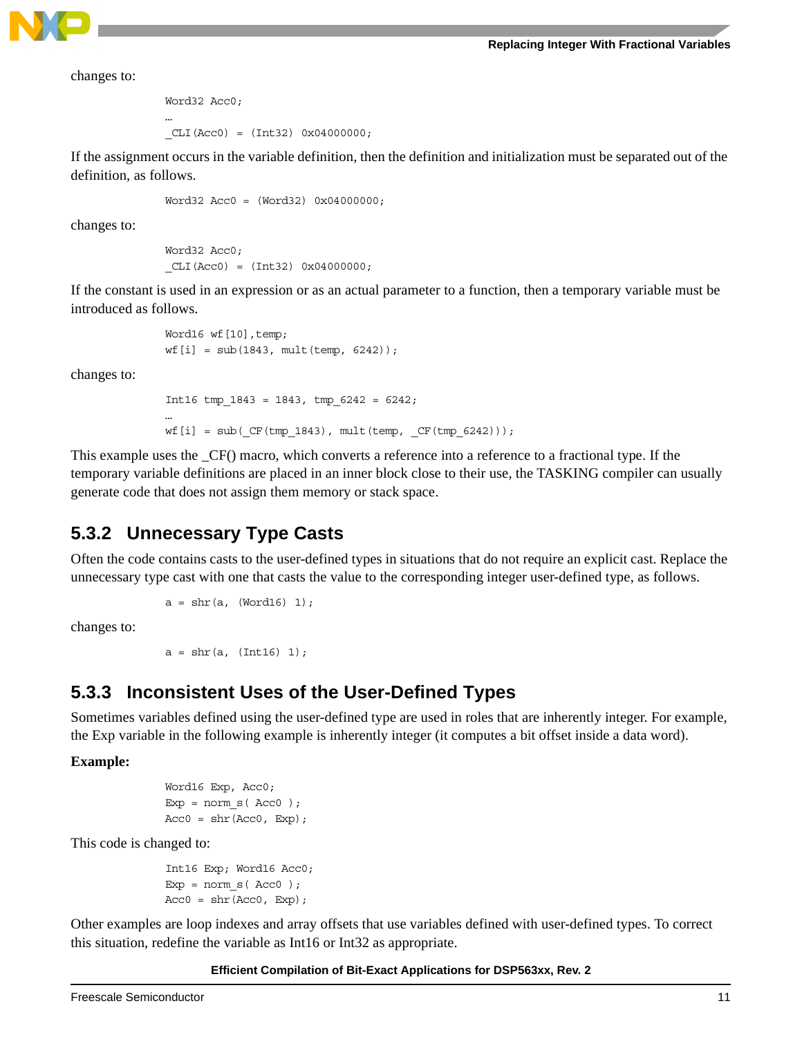

changes to:

```
Word32 Acc0;
…
CLI(Accc) = (Int32) 0x04000000;
```
If the assignment occurs in the variable definition, then the definition and initialization must be separated out of the definition, as follows.

```
Word32 Acc0 = (Word32) 0x04000000;
```
changes to:

```
Word32 Acc0;
CLI(Accc) = (Int32) 0x04000000;
```
If the constant is used in an expression or as an actual parameter to a function, then a temporary variable must be introduced as follows.

```
Word16 wf [10], temp;
wf[i] = sub(1843, mult(temp, 6242));
```
changes to:

```
Int16 tmp 1843 = 1843, tmp 6242 = 6242;
…
wf[i] = sub(CF(tmp 1843), mult(temp, CF(tmp 6242)));
```
This example uses the \_CF() macro, which converts a reference into a reference to a fractional type. If the temporary variable definitions are placed in an inner block close to their use, the TASKING compiler can usually generate code that does not assign them memory or stack space.

### **5.3.2 Unnecessary Type Casts**

Often the code contains casts to the user-defined types in situations that do not require an explicit cast. Replace the unnecessary type cast with one that casts the value to the corresponding integer user-defined type, as follows.

 $a = \text{shr}(a, (\text{Word16}) 1);$ 

changes to:

 $a = \text{shr}(a, (\text{Int16}) 1);$ 

### **5.3.3 Inconsistent Uses of the User-Defined Types**

Sometimes variables defined using the user-defined type are used in roles that are inherently integer. For example, the Exp variable in the following example is inherently integer (it computes a bit offset inside a data word).

### **Example:**

Word16 Exp, Acc0; Exp = norm  $s($  Acc0  $);$  $Acc0 =$ shr $(Acc0, Exp)$ ;

This code is changed to:

Int16 Exp; Word16 Acc0; Exp = norm  $s($  Acc0  $);$  $Acc0 =$  shr $(Acc0, Exp)$ ;

Other examples are loop indexes and array offsets that use variables defined with user-defined types. To correct this situation, redefine the variable as Int16 or Int32 as appropriate.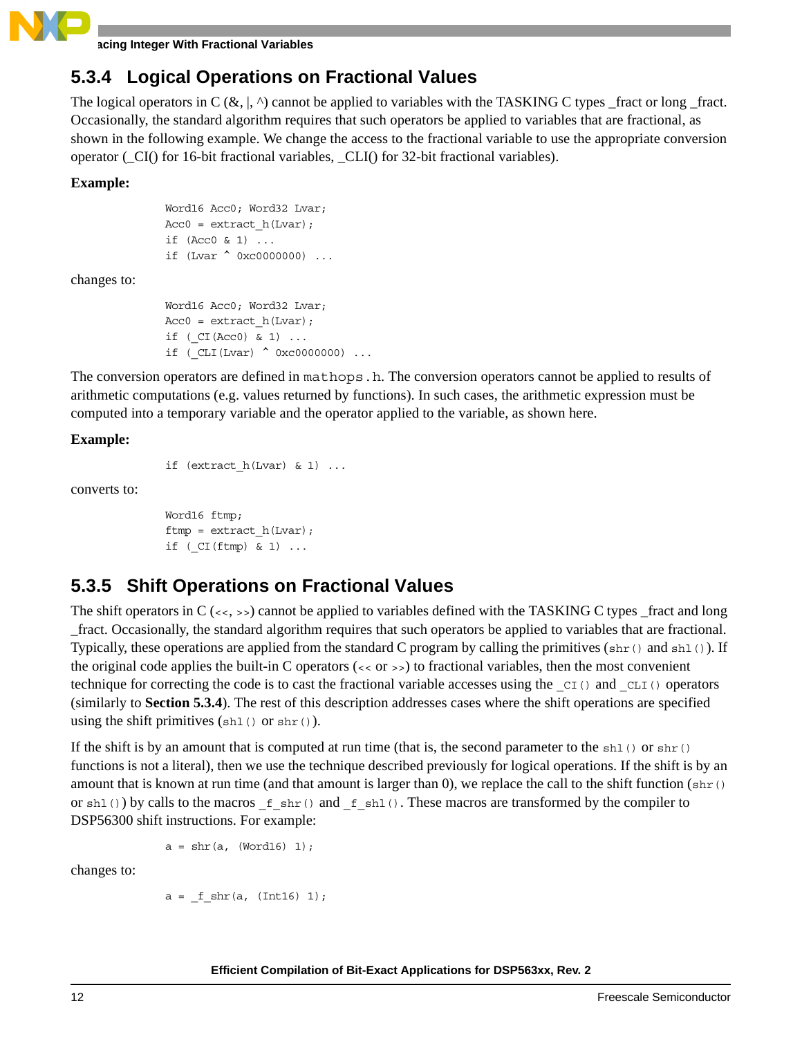

**Replacing Integer With Fractional Variables**

## **5.3.4 Logical Operations on Fractional Values**

The logical operators in C  $(\&, \, |, \wedge)$  cannot be applied to variables with the TASKING C types \_fract or long \_fract. Occasionally, the standard algorithm requires that such operators be applied to variables that are fractional, as shown in the following example. We change the access to the fractional variable to use the appropriate conversion operator (\_CI() for 16-bit fractional variables, \_CLI() for 32-bit fractional variables).

### **Example:**

```
Word16 Acc0; Word32 Lvar;
Acc0 = extract h(Lvar);if (Acc0 & 1) ...
if (Lvar ^ 0xc0000000) ...
```
changes to:

Word16 Acc0; Word32 Lvar;  $Acc0 = extract h(Lvar);$ if ( $CI(Accc)$  & 1) ... if ( $CLI(Lvar)$   $^{\wedge}$  0xc0000000) ...

The conversion operators are defined in mathops.h. The conversion operators cannot be applied to results of arithmetic computations (e.g. values returned by functions). In such cases, the arithmetic expression must be computed into a temporary variable and the operator applied to the variable, as shown here.

### **Example:**

```
if (extract h(Lvar) & 1) ...
```
converts to:

Word16 ftmp; ftmp = extract\_h(Lvar); if  $(CI(ftmp) \& 1) \ldots$ 

## **5.3.5 Shift Operations on Fractional Values**

The shift operators in C ( $\langle \langle \rangle$ ,  $\rangle$ ) cannot be applied to variables defined with the TASKING C types \_fract and long \_fract. Occasionally, the standard algorithm requires that such operators be applied to variables that are fractional. Typically, these operations are applied from the standard C program by calling the primitives (shr() and shl()). If the original code applies the built-in C operators ( $\langle \langle \cdot \rangle$  or  $\rangle$ ) to fractional variables, then the most convenient technique for correcting the code is to cast the fractional variable accesses using the  $\text{CI}$ () and  $\text{CLI}$ () operators (similarly to **Section 5.3.4**). The rest of this description addresses cases where the shift operations are specified using the shift primitives  $(\text{shl}(x))$  or  $\text{shr}(x)$ .

If the shift is by an amount that is computed at run time (that is, the second parameter to the  $\text{sh}(t)$  or  $\text{sh}(t)$ ) functions is not a literal), then we use the technique described previously for logical operations. If the shift is by an amount that is known at run time (and that amount is larger than 0), we replace the call to the shift function (shr() or  $\text{sh}(t)$  by calls to the macros  $f_{\text{sh}(t)}$  and  $f_{\text{sh}(t)}$ . These macros are transformed by the compiler to DSP56300 shift instructions. For example:

 $a = \text{shr}(a, (\text{Word16}) 1);$ 

changes to:

 $a = f \sin(a, (Int16) 1);$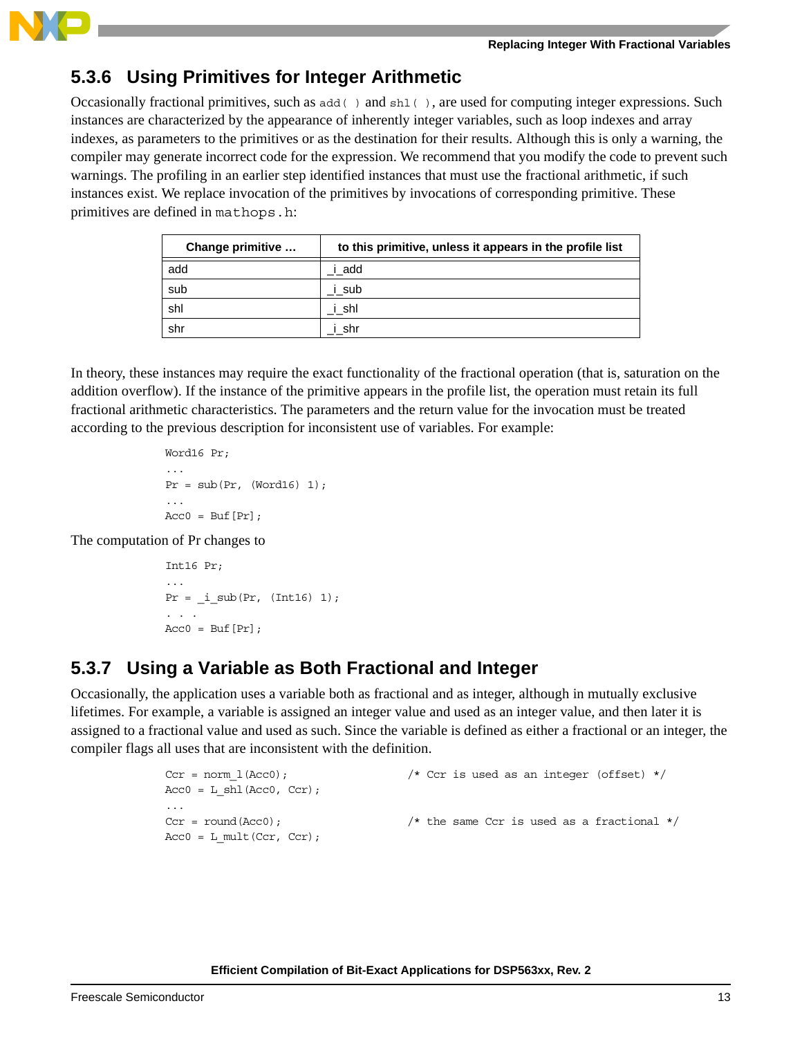

## **5.3.6 Using Primitives for Integer Arithmetic**

Occasionally fractional primitives, such as  $ad(d \mid)$  and  $sh( \mid)$ , are used for computing integer expressions. Such instances are characterized by the appearance of inherently integer variables, such as loop indexes and array indexes, as parameters to the primitives or as the destination for their results. Although this is only a warning, the compiler may generate incorrect code for the expression. We recommend that you modify the code to prevent such warnings. The profiling in an earlier step identified instances that must use the fractional arithmetic, if such instances exist. We replace invocation of the primitives by invocations of corresponding primitive. These primitives are defined in mathops.h:

| Change primitive | to this primitive, unless it appears in the profile list |
|------------------|----------------------------------------------------------|
| add              | i add                                                    |
| sub              | i sub                                                    |
| shl              | i shl                                                    |
| shr              | shr                                                      |

In theory, these instances may require the exact functionality of the fractional operation (that is, saturation on the addition overflow). If the instance of the primitive appears in the profile list, the operation must retain its full fractional arithmetic characteristics. The parameters and the return value for the invocation must be treated according to the previous description for inconsistent use of variables. For example:

```
Word16 Pr;
...
Pr = sub(Pr, (Word16) 1);...
Acc0 = But[Pr];
```
The computation of Pr changes to

```
Int16 Pr;
Pr = i \text{ sub}(Pr, (Int16) 1);. . . 
Acc0 = But[Pr];
```
## **5.3.7 Using a Variable as Both Fractional and Integer**

Occasionally, the application uses a variable both as fractional and as integer, although in mutually exclusive lifetimes. For example, a variable is assigned an integer value and used as an integer value, and then later it is assigned to a fractional value and used as such. Since the variable is defined as either a fractional or an integer, the compiler flags all uses that are inconsistent with the definition.

```
Ccr = norm l(Acc0); /* Ccr is used as an integer (offset) */
Acc0 = L shl(Acc0, Ccr);
...
Cor = round(Acc0); /* the same Cor is used as a fractional */Acc0 = L mult(Ccr, Ccr);
```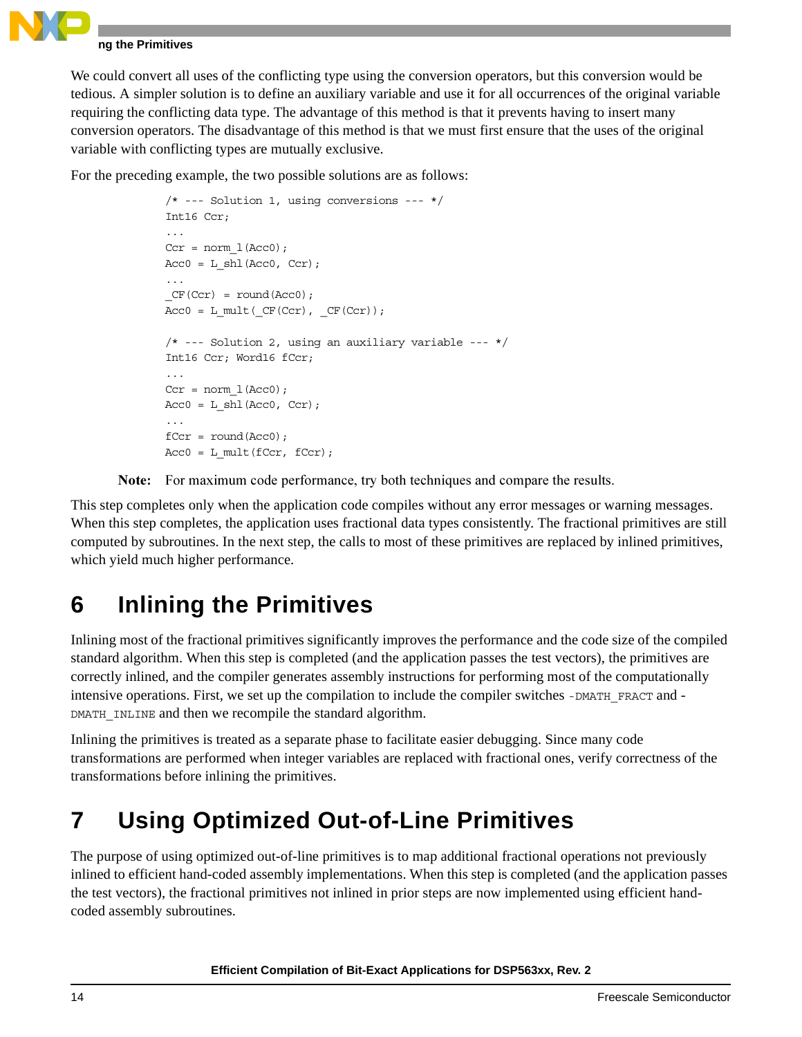### **Ing the Primitives**

We could convert all uses of the conflicting type using the conversion operators, but this conversion would be tedious. A simpler solution is to define an auxiliary variable and use it for all occurrences of the original variable requiring the conflicting data type. The advantage of this method is that it prevents having to insert many conversion operators. The disadvantage of this method is that we must first ensure that the uses of the original variable with conflicting types are mutually exclusive.

For the preceding example, the two possible solutions are as follows:

```
/* -- Solution 1, using conversions -- */Int16 Ccr;
...
Ccr = norm l(Acc0);Acc0 = L \, shl(Accc, Ccr);...
CF(Ccr) = round(Acc0);Acc0 = L mult(CF(Ccr), CF(Ccr));
/* --- Solution 2, using an auxiliary variable --- */Int16 Ccr; Word16 fCcr;
...
Ccr = norm l(Acc0);Acc0 = L shl(Acc0, Ccr);
...
fCcr = round(Acc0):
Acc0 = L mult(fCcr, fCcr);
```
Note: For maximum code performance, try both techniques and compare the results.

This step completes only when the application code compiles without any error messages or warning messages. When this step completes, the application uses fractional data types consistently. The fractional primitives are still computed by subroutines. In the next step, the calls to most of these primitives are replaced by inlined primitives, which yield much higher performance.

## <span id="page-13-0"></span>**6 Inlining the Primitives**

Inlining most of the fractional primitives significantly improves the performance and the code size of the compiled standard algorithm. When this step is completed (and the application passes the test vectors), the primitives are correctly inlined, and the compiler generates assembly instructions for performing most of the computationally intensive operations. First, we set up the compilation to include the compiler switches -DMATH\_FRACT and -DMATH INLINE and then we recompile the standard algorithm.

Inlining the primitives is treated as a separate phase to facilitate easier debugging. Since many code transformations are performed when integer variables are replaced with fractional ones, verify correctness of the transformations before inlining the primitives.

## <span id="page-13-1"></span>**7 Using Optimized Out-of-Line Primitives**

The purpose of using optimized out-of-line primitives is to map additional fractional operations not previously inlined to efficient hand-coded assembly implementations. When this step is completed (and the application passes the test vectors), the fractional primitives not inlined in prior steps are now implemented using efficient handcoded assembly subroutines.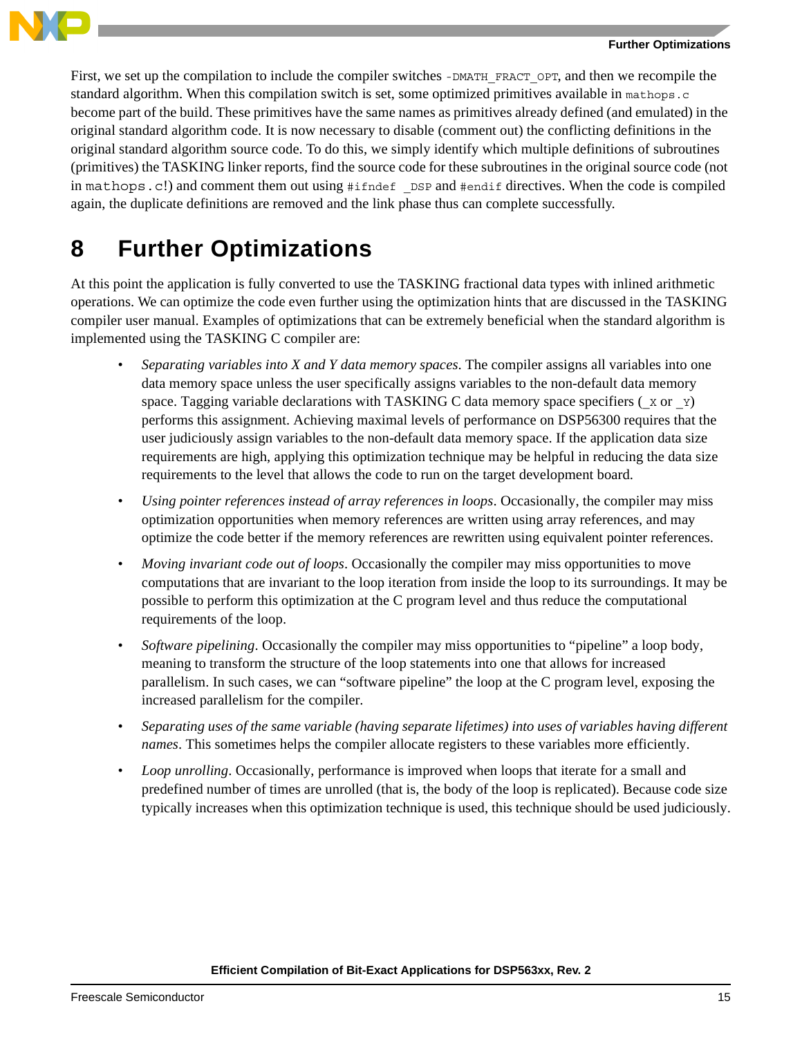



First, we set up the compilation to include the compiler switches -DMATH\_FRACT\_OPT, and then we recompile the standard algorithm. When this compilation switch is set, some optimized primitives available in mathops.c become part of the build. These primitives have the same names as primitives already defined (and emulated) in the original standard algorithm code. It is now necessary to disable (comment out) the conflicting definitions in the original standard algorithm source code. To do this, we simply identify which multiple definitions of subroutines (primitives) the TASKING linker reports, find the source code for these subroutines in the original source code (not in mathops.c!) and comment them out using  $\#$ ifndef DSP and  $\#$ endif directives. When the code is compiled again, the duplicate definitions are removed and the link phase thus can complete successfully.

## <span id="page-14-0"></span>**8 Further Optimizations**

At this point the application is fully converted to use the TASKING fractional data types with inlined arithmetic operations. We can optimize the code even further using the optimization hints that are discussed in the TASKING compiler user manual. Examples of optimizations that can be extremely beneficial when the standard algorithm is implemented using the TASKING C compiler are:

- *Separating variables into X and Y data memory spaces*. The compiler assigns all variables into one data memory space unless the user specifically assigns variables to the non-default data memory space. Tagging variable declarations with TASKING C data memory space specifiers  $(\begin{bmatrix} x \text{ or } y \end{bmatrix})$ performs this assignment. Achieving maximal levels of performance on DSP56300 requires that the user judiciously assign variables to the non-default data memory space. If the application data size requirements are high, applying this optimization technique may be helpful in reducing the data size requirements to the level that allows the code to run on the target development board.
- *Using pointer references instead of array references in loops*. Occasionally, the compiler may miss optimization opportunities when memory references are written using array references, and may optimize the code better if the memory references are rewritten using equivalent pointer references.
- *Moving invariant code out of loops*. Occasionally the compiler may miss opportunities to move computations that are invariant to the loop iteration from inside the loop to its surroundings. It may be possible to perform this optimization at the C program level and thus reduce the computational requirements of the loop.
- *Software pipelining*. Occasionally the compiler may miss opportunities to "pipeline" a loop body, meaning to transform the structure of the loop statements into one that allows for increased parallelism. In such cases, we can "software pipeline" the loop at the C program level, exposing the increased parallelism for the compiler.
- *Separating uses of the same variable (having separate lifetimes) into uses of variables having different names*. This sometimes helps the compiler allocate registers to these variables more efficiently.
- *Loop unrolling*. Occasionally, performance is improved when loops that iterate for a small and predefined number of times are unrolled (that is, the body of the loop is replicated). Because code size typically increases when this optimization technique is used, this technique should be used judiciously.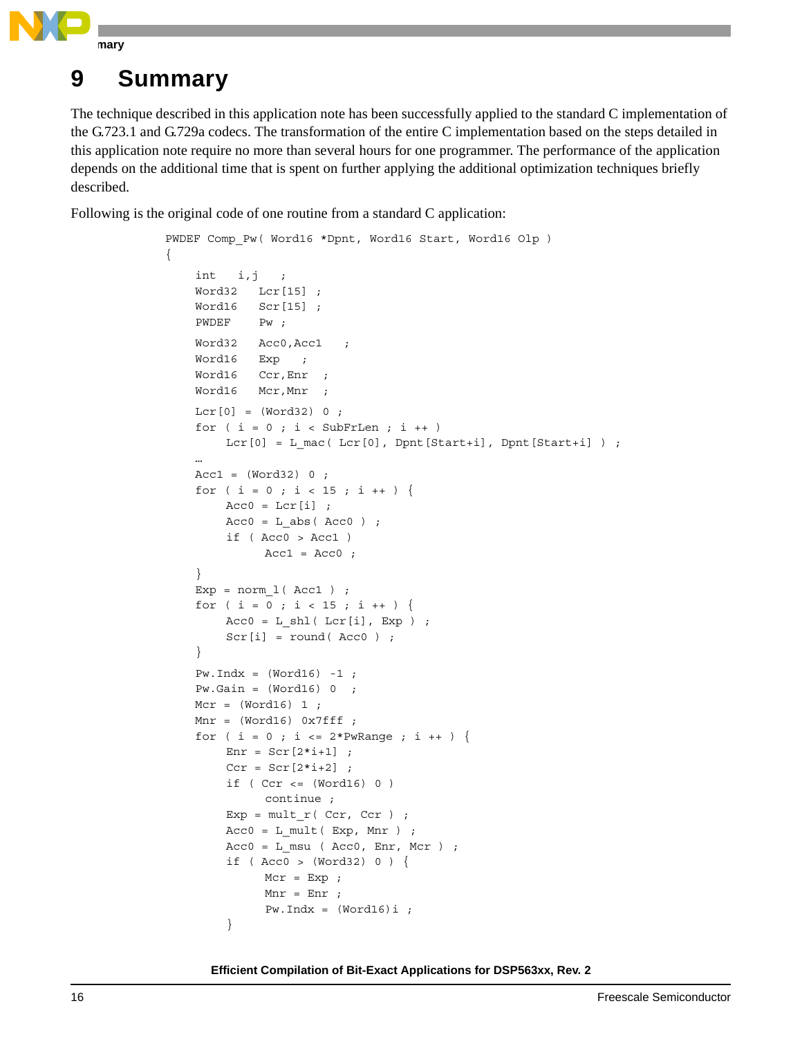

## <span id="page-15-0"></span>**9 Summary**

The technique described in this application note has been successfully applied to the standard C implementation of the G.723.1 and G.729a codecs. The transformation of the entire C implementation based on the steps detailed in this application note require no more than several hours for one programmer. The performance of the application depends on the additional time that is spent on further applying the additional optimization techniques briefly described.

Following is the original code of one routine from a standard C application:

```
PWDEF Comp Pw( Word16 *Dpnt, Word16 Start, Word16 Olp )
{
    int i,j ;
    Word32 Lcr[15] ;
    Word16 Scr[15] ;
    PWDEF Pw ;
   Word32 Acc0,Acc1 ;
    Word16 Exp ;
    Word16 Ccr,Enr ;
   Word16 Mcr,Mnr ;
   Lcr[0] = (Word32) 0 ;for ( i = 0 ; i < SubFrLen ; i + )
        Lcr[0] = L mac( Lcr[0], Dpnt[Start+i], Dpnt[Start+i]) ;
    …
   Acc1 = (Word32) 0;for ( i = 0 ; i < 15 ; i + ) {
        Acc0 = Lcr[i];
        Acc0 = L abs(Acc0) ;
        if ( Acc0 > Acc1 )
             Acc1 = Acc0 ;
    }
    Exp = norm l( Acc1 ) ;
    for ( i = 0 ; i < 15 ; i + ) {
        Acc0 = Lshl(Lcr[i], Exp) ;
        Scr[i] = round(Acc0);
    }
    Pw.Indx = (Word16) -1;Pw.Gain = (Word16) 0;
   Mcr = (Word16) 1;Mnr = (Word16) 0x7fff;for ( i = 0 ; i \le 2*PwRange ; i + 1 }
        Enr = Scr[2*1+1] ;
        Cor = Scr[2*1+2] ;
        if ( Ccr <= (Word16) 0 )
             continue ;
        Exp = mult r( Ccr, Ccr );
        Acc0 = L mult( Exp, Mnr ) ;
        Acc0 = L msu (Acc0, Enr, Mcr) ;
        if ( Acc0 > (Word32) 0 ) {
             Mcr = Exp;
             Mnr = Enr;
             Pw.Indx = (Word16)i;}
```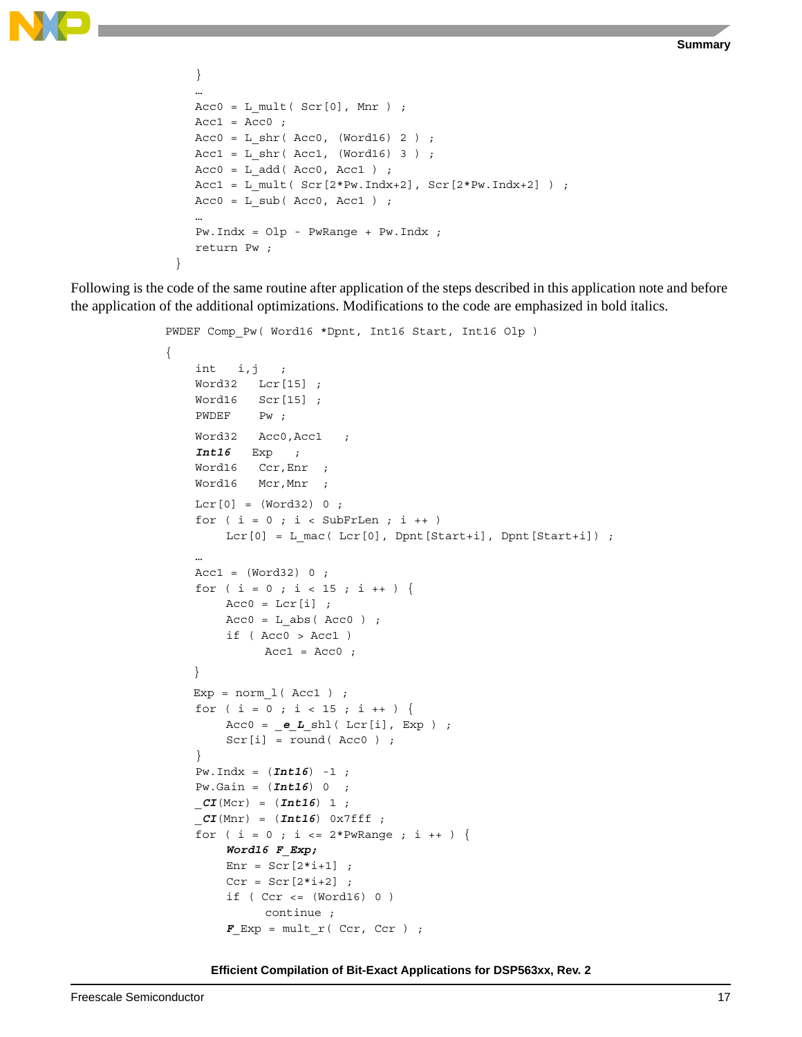

}

{

```
}
…
Acc0 = L mult( Scr[0], Mnr ) ;
Acc1 = Acc0;
Acc0 = L \shr( Acc0, (Word16) 2 );
Acc1 = L_bhr( Acc1, (Word16) 3);Acc0 = L add( Acc0, Acc1 ) ;
Acc1 = L mult( Scr[2*Pw.Indx+2], Scr[2*Pw.Indx+2] ) ;
Acc0 = L \text{ sub} (Acc0, Acc1) ;
…
Pw.Indx = Olp - PwRange + Pw.Indx ;
return Pw ;
```
Following is the code of the same routine after application of the steps described in this application note and before the application of the additional optimizations. Modifications to the code are emphasized in bold italics.

```
PWDEF Comp_Pw( Word16 *Dpnt, Int16 Start, Int16 Olp )
    int i,j ;
    Word32 Lcr[15] ;
    Word16 Scr[15] ;
    PWDEF Pw ;
     Word32 Acc0,Acc1 ;
    Int16 Exp ;
    Word16 Ccr,Enr ;
    Word16 Mcr, Mnr
    Lcr[0] = (Word32) 0;for ( i = 0 ; i < SubFrLen ; i + )
        Lcr[0] = L mac( Lcr[0], Dpnt[Start+i], Dpnt[Start+i]);
   Acc1 = (Word32) 0;for ( i = 0 ; i < 15 ; i + ) {
        Acc0 = Lcr[i];
        Acc0 = L_abs( Acc0);
        if ( Acc0 > Acc1 )
             Acc1 = Acc0;
    }
   Exp = norm l( Acc1 ) ;
    for ( i = 0 ; i < 15 ; i + 1) {
        Acc0 = eLshl(Lcr[i], Exp) ;
        Scr[i] = round(Acc0);
    }
    Pw.Indx = (Int16) -1 ;
    Pw.Gain = (Int16) 0 ;
   _CI(Mcr) = (Int16) 1 ;
    _CI(Mnr) = (Int16) 0x7fff ;
    for ( i = 0 ; i \le 2*PwRange; i ++ ) {
        Word16 F_Exp;
        Err = \text{Scr}[2 \cdot i + 1] ;
        Ccr = Scr[2*1+2] ;
        if ( Cor \leq (Word16) 0 )
             continue ;
        F_Exp = mult_r( Ccr, Ccr ) ;
```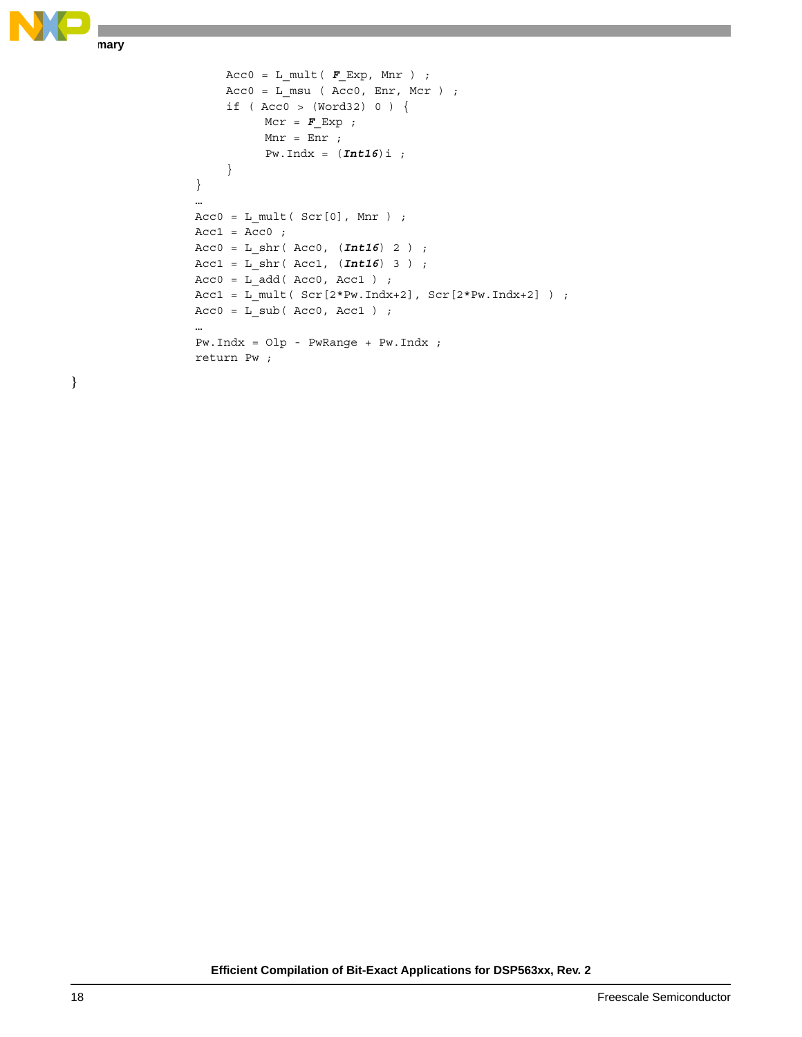

}

mary

```
Acc0 = L_mult( F_Exp, Mnr ) ;
     Acc0 = L_{mask} (Acc0, Enr, Mer);
     if ( Acc0 > (Word32) 0 ) {
           Mcr = F_Exp ;
           Mnr = Enr;
           Pw.Indx = (Int16)i ;
     }
}
…
Acc0 = L_mult( <math>Scr[0]</math>, <math>Mnr</math>) ;Acc1 = Acc0;
Acc0 = L_shr( Acc0, (Int16) 2 ) ;
Acc1 = L_shr( Acc1, (Int16) 3 ) ;
Acc0 = L_{add}( Acc0, Acc1);
\verb|Acc1 = L_mult(|\verb|Scr[2*Pw.Indx+2]|, |\verb|Scr[2*Pw.Indx+2]|)|;Acc0 = L \text{ sub} (Acc0, Acc1 ) ;
…
Pw.Indx = Olp - PwRange + Pw.Indx ;
return Pw ;
```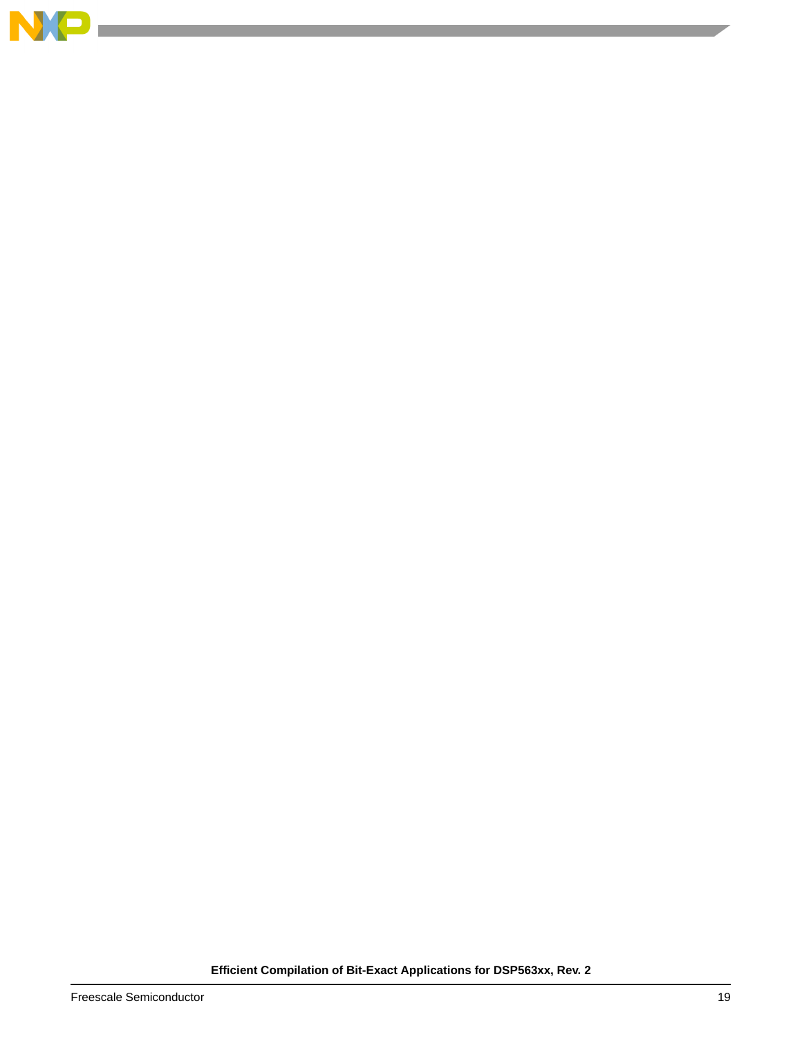

**Contract**